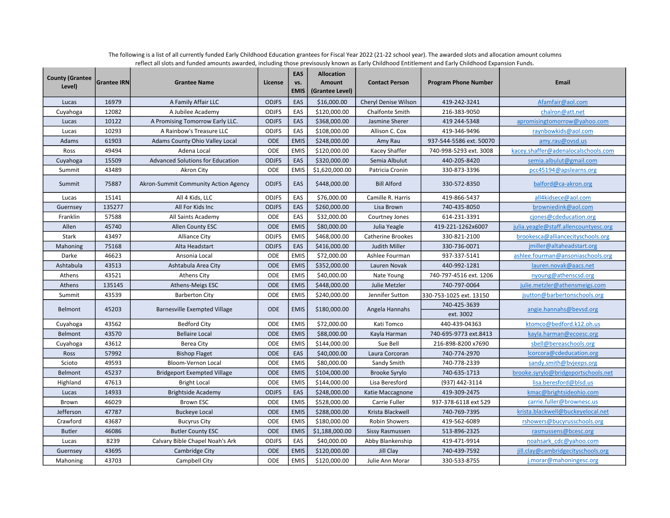| <b>County (Grantee</b><br>Level) | <b>Grantee IRN</b> | <b>Grantee Name</b>                     | License      | EAS<br>VS.<br><b>EMIS</b> | <b>Allocation</b><br>Amount<br>(Grantee Level) | <b>Contact Person</b>  | <b>Program Phone Number</b> | <b>Email</b>                          |
|----------------------------------|--------------------|-----------------------------------------|--------------|---------------------------|------------------------------------------------|------------------------|-----------------------------|---------------------------------------|
| Lucas                            | 16979              | A Family Affair LLC                     | <b>ODJFS</b> | EAS                       | \$16,000.00                                    | Cheryl Denise Wilson   | 419-242-3241                | Afamfair@aol.com                      |
| Cuyahoga                         | 12082              | A Jubilee Academy                       | <b>ODJFS</b> | EAS                       | \$120,000.00                                   | Chalfonte Smith        | 216-383-9050                | chalron@att.net                       |
| Lucas                            | 10122              | A Promising Tomorrow Early LLC.         | <b>ODJFS</b> | EAS                       | \$368,000.00                                   | Jasmine Sherer         | 419 244-5348                | apromisingtomorrow@yahoo.com          |
| Lucas                            | 10293              | A Rainbow's Treasure LLC                | <b>ODJFS</b> | EAS                       | \$108,000.00                                   | Allison C. Cox         | 419-346-9496                | raynbowkids@aol.com                   |
| Adams                            | 61903              | Adams County Ohio Valley Local          | <b>ODE</b>   | <b>EMIS</b>               | \$248,000.00                                   | Amy Rau                | 937-544-5586 ext. 50070     | amy.rau@ovsd.us                       |
| Ross                             | 49494              | Adena Local                             | ODE          | <b>EMIS</b>               | \$120,000.00                                   | Kacey Shaffer          | 740-998-5293 ext. 3008      | kacey.shaffer@adenalocalschools.com   |
| Cuyahoga                         | 15509              | <b>Advanced Solutions for Education</b> | <b>ODJFS</b> | EAS                       | \$320,000.00                                   | Semia Albulut          | 440-205-8420                | semia.albulut@gmail.com               |
| Summit                           | 43489              | Akron City                              | ODE          | <b>EMIS</b>               | \$1,620,000.00                                 | Patricia Cronin        | 330-873-3396                | pcc45194@apslearns.org                |
| Summit                           | 75887              | Akron-Summit Community Action Agency    | <b>ODJFS</b> | EAS                       | \$448,000.00                                   | <b>Bill Alford</b>     | 330-572-8350                | balford@ca-akron.org                  |
| Lucas                            | 15141              | All 4 Kids, LLC                         | <b>ODJFS</b> | EAS                       | \$76,000.00                                    | Camille R. Harris      | 419-866-5437                | all4kidsece@aol.com                   |
| Guernsey                         | 135277             | All For Kids Inc                        | <b>ODJFS</b> | EAS                       | \$260,000.00                                   | Lisa Brown             | 740-435-8050                | browniedink@aol.com                   |
| Franklin                         | 57588              | All Saints Academy                      | ODE          | EAS                       | \$32,000.00                                    | Courtney Jones         | 614-231-3391                | cjones@cdeducation.org                |
| Allen                            | 45740              | Allen County ESC                        | <b>ODE</b>   | <b>EMIS</b>               | \$80,000.00                                    | Julia Yeagle           | 419-221-1262x6007           | julia.yeagle@staff.allencountyesc.org |
| Stark                            | 43497              | <b>Alliance City</b>                    | <b>ODJFS</b> | <b>EMIS</b>               | \$468,000.00                                   | Catherine Brookes      | 330-821-2100                | brookesca@alliancecityschools.org     |
| Mahoning                         | 75168              | Alta Headstart                          | <b>ODJFS</b> | EAS                       | \$416,000.00                                   | Judith Miller          | 330-736-0071                | jmiller@altaheadstart.org             |
| Darke                            | 46623              | Ansonia Local                           | <b>ODE</b>   | <b>EMIS</b>               | \$72,000.00                                    | Ashlee Fourman         | 937-337-5141                | ashlee.fourman@ansoniaschools.org     |
| Ashtabula                        | 43513              | Ashtabula Area City                     | ODE          | <b>EMIS</b>               | \$352,000.00                                   | Lauren Novak           | 440-992-1281                | lauren.novak@aacs.net                 |
| Athens                           | 43521              | Athens City                             | <b>ODE</b>   | <b>EMIS</b>               | \$40,000.00                                    | Nate Young             | 740-797-4516 ext. 1206      | nyoung@athenscsd.org                  |
| Athens                           | 135145             | Athens-Meigs ESC                        | <b>ODE</b>   | <b>EMIS</b>               | \$448,000.00                                   | Julie Metzler          | 740-797-0064                | julie.metzler@athensmeigs.com         |
| Summit                           | 43539              | <b>Barberton City</b>                   | <b>ODE</b>   | <b>EMIS</b>               | \$240,000.00                                   | Jennifer Sutton        | 330-753-1025 ext. 13150     | jsutton@barbertonschools.org          |
| Belmont                          | 45203              | <b>Barnesville Exempted Village</b>     | <b>ODE</b>   | <b>EMIS</b>               | \$180,000.00                                   | Angela Hannahs         | 740-425-3639                | angie.hannahs@bevsd.org               |
|                                  |                    |                                         |              |                           |                                                |                        | ext. 3002                   |                                       |
| Cuyahoga                         | 43562              | <b>Bedford City</b>                     | ODE          | <b>EMIS</b>               | \$72,000.00                                    | Kati Tomco             | 440-439-04363               | ktomco@bedford.k12.oh.us              |
| Belmont                          | 43570              | <b>Bellaire Local</b>                   | <b>ODE</b>   | <b>EMIS</b>               | \$88,000.00                                    | Kayla Harman           | 740-695-9773 ext.8413       | kayla.harman@ecoesc.org               |
| Cuyahoga                         | 43612              | Berea City                              | ODE          | <b>EMIS</b>               | \$144,000.00                                   | Sue Bell               | 216-898-8200 x7690          | sbell@bereaschools.org                |
| Ross                             | 57992              | <b>Bishop Flaget</b>                    | <b>ODE</b>   | EAS                       | \$40,000.00                                    | Laura Corcoran         | 740-774-2970                | lcorcora@cdeducation.org              |
| Scioto                           | 49593              | Bloom-Vernon Local                      | ODE          | <b>EMIS</b>               | \$80,000.00                                    | Sandy Smith            | 740-778-2339                | sandy.smith@bvjeeps.org               |
| Belmont                          | 45237              | <b>Bridgeport Exempted Village</b>      | <b>ODE</b>   | <b>EMIS</b>               | \$104,000.00                                   | Brooke Syrylo          | 740-635-1713                | brooke.syrylo@bridgeportschools.net   |
| Highland                         | 47613              | <b>Bright Local</b>                     | <b>ODE</b>   | <b>EMIS</b>               | \$144,000.00                                   | Lisa Beresford         | (937) 442-3114              | lisa.beresford@blsd.us                |
| Lucas                            | 14933              | <b>Brightside Academy</b>               | <b>ODJFS</b> | EAS                       | \$248,000.00                                   | Katie Maccagnone       | 419-309-2475                | kmac@brightsideohio.com               |
| Brown                            | 46029              | <b>Brown ESC</b>                        | ODE          | <b>EMIS</b>               | \$528,000.00                                   | Carrie Fuller          | 937-378-6118 ext 529        | carrie.fuller@brownesc.us             |
| Jefferson                        | 47787              | <b>Buckeye Local</b>                    | <b>ODE</b>   | <b>EMIS</b>               | \$288,000.00                                   | Krista Blackwell       | 740-769-7395                | krista.blackwell@buckeyelocal.net     |
| Crawford                         | 43687              | <b>Bucyrus City</b>                     | ODE          | <b>EMIS</b>               | \$180,000.00                                   | Robin Showers          | 419-562-6089                | rshowers@bucyrusschools.org           |
| <b>Butler</b>                    | 46086              | <b>Butler County ESC</b>                | <b>ODE</b>   | <b>EMIS</b>               | \$1,188,000.00                                 | <b>Sissy Rasmussen</b> | 513-896-2325                | rasmussens@bcesc.org                  |
| Lucas                            | 8239               | Calvary Bible Chapel Noah's Ark         | <b>ODJFS</b> | EAS                       | \$40,000.00                                    | Abby Blankenship       | 419-471-9914                | noahsark cdc@yahoo.com                |
| Guernsey                         | 43695              | Cambridge City                          | ODE          | <b>EMIS</b>               | \$120,000.00                                   | Jill Clay              | 740-439-7592                | jill.clay@cambridgecityschools.org    |
| Mahoning                         | 43703              | Campbell City                           | ODE          | <b>EMIS</b>               | \$120,000.00                                   | Julie Ann Morar        | 330-533-8755                | j.morar@mahoningesc.org               |

The following is a list of all currently funded Early Childhood Education grantees for Fiscal Year 2022 (21-22 school year). The awarded slots and allocation amount columns reflect all slots and funded amounts awarded, including those previsously known as Early Childhood Entitlement and Early Childhood Expansion Funds.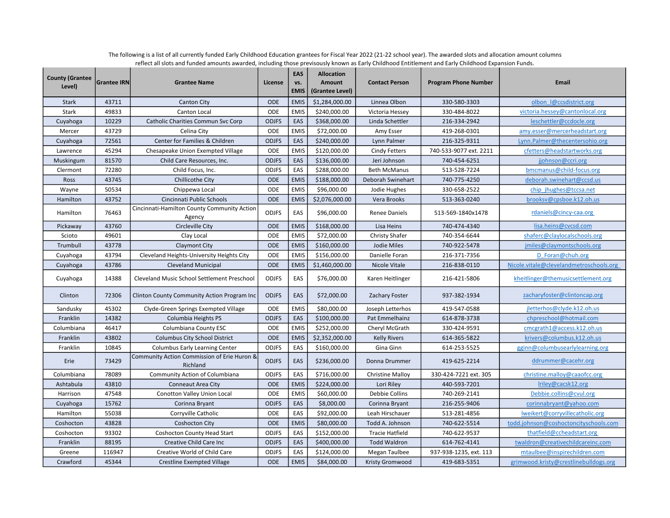| <b>County (Grantee</b><br>Level) | <b>Grantee IRN</b> | <b>Grantee Name</b>                                     | License      | EAS<br>VS.<br><b>EMIS</b> | <b>Allocation</b><br>Amount<br>(Grantee Level) | <b>Contact Person</b>   | <b>Program Phone Number</b> | Email                                   |
|----------------------------------|--------------------|---------------------------------------------------------|--------------|---------------------------|------------------------------------------------|-------------------------|-----------------------------|-----------------------------------------|
| <b>Stark</b>                     | 43711              | <b>Canton City</b>                                      | <b>ODE</b>   | <b>EMIS</b>               | \$1,284,000.00                                 | Linnea Olbon            | 330-580-3303                | olbon I@ccsdistrict.org                 |
| Stark                            | 49833              | Canton Local                                            | ODE          | <b>EMIS</b>               | \$240,000.00                                   | Victoria Hessey         | 330-484-8022                | victoria.hessey@cantonlocal.org         |
| Cuyahoga                         | 10229              | <b>Catholic Charities Commun Svc Corp</b>               | <b>ODJFS</b> | EAS                       | \$368,000.00                                   | Linda Schettler         | 216-334-2942                | leschettler@ccdocle.org                 |
| Mercer                           | 43729              | Celina City                                             | ODE          | <b>EMIS</b>               | \$72,000.00                                    | Amy Esser               | 419-268-0301                | amy.esser@mercerheadstart.org           |
| Cuyahoga                         | 72561              | Center for Families & Children                          | <b>ODJFS</b> | EAS                       | \$240,000.00                                   | Lynn Palmer             | 216-325-9311                | Lynn.Palmer@thecentersohio.org          |
| Lawrence                         | 45294              | Chesapeake Union Exempted Village                       | ODE          | <b>EMIS</b>               | \$120,000.00                                   | <b>Cindy Fetters</b>    | 740-533-9077 ext. 2211      | cfetters@headstartworks.org             |
| Muskingum                        | 81570              | Child Care Resources, Inc.                              | <b>ODJFS</b> | EAS                       | \$136,000.00                                   | Jeri Johnson            | 740-454-6251                | jjohnson@ccri.org                       |
| Clermont                         | 72280              | Child Focus, Inc.                                       | <b>ODJFS</b> | EAS                       | \$288,000.00                                   | <b>Beth McManus</b>     | 513-528-7224                | bmcmanus@child-focus.org                |
| Ross                             | 43745              | Chillicothe City                                        | ODE          | <b>EMIS</b>               | \$188,000.00                                   | Deborah Swinehart       | 740-775-4250                | deborah.swinehart@ccsd.us               |
| Wayne                            | 50534              | Chippewa Local                                          | ODE          | <b>EMIS</b>               | \$96,000.00                                    | Jodie Hughes            | 330-658-2522                | chip jhughes@tccsa.net                  |
| Hamilton                         | 43752              | Cincinnati Public Schools                               | ODE          | <b>EMIS</b>               | \$2,076,000.00                                 | Vera Brooks             | 513-363-0240                | brooksv@cpsboe.k12.oh.us                |
| Hamilton                         | 76463              | Cincinnati-Hamilton County Community Action<br>Agency   | <b>ODJFS</b> | EAS                       | \$96,000.00                                    | Renee Daniels           | 513-569-1840x1478           | rdaniels@cincy-caa.org                  |
| Pickaway                         | 43760              | Circleville City                                        | <b>ODE</b>   | <b>EMIS</b>               | \$168,000.00                                   | Lisa Heins              | 740-474-4340                | lisa.heins@cvcsd.com                    |
| Scioto                           | 49601              | Clay Local                                              | ODE          | <b>EMIS</b>               | \$72,000.00                                    | <b>Christy Shafer</b>   | 740-354-6644                | shaferc@claylocalschools.org            |
| Trumbull                         | 43778              | Claymont City                                           | <b>ODE</b>   | <b>EMIS</b>               | \$160,000.00                                   | Jodie Miles             | 740-922-5478                | jmiles@claymontschools.org              |
| Cuyahoga                         | 43794              | Cleveland Heights-University Heights City               | ODE          | <b>EMIS</b>               | \$156,000.00                                   | Danielle Foran          | 216-371-7356                | D Foran@chuh.org                        |
| Cuyahoga                         | 43786              | <b>Cleveland Municipal</b>                              | <b>ODE</b>   | <b>EMIS</b>               | \$1,460,000.00                                 | Nicole Vitale           | 216-838-0110                | Nicole.vitale@clevelandmetroschools.org |
| Cuyahoga                         | 14388              | <b>Cleveland Music School Settlement Preschool</b>      | <b>ODJFS</b> | EAS                       | \$76,000.00                                    | Karen Heitlinger        | 216-421-5806                | kheitlinger@themusicsettlement.org      |
| Clinton                          | 72306              | Clinton County Community Action Program Inc             | <b>ODJFS</b> | EAS                       | \$72,000.00                                    | Zachary Foster          | 937-382-1934                | zacharyfoster@clintoncap.org            |
| Sandusky                         | 45302              | Clyde-Green Springs Exempted Village                    | ODE          | <b>EMIS</b>               | \$80,000.00                                    | Joseph Letterhos        | 419-547-0588                | jletterhos@clyde.k12.oh.us              |
| Franklin                         | 14382              | Columbia Heights PS                                     | <b>ODJFS</b> | EAS                       | \$100,000.00                                   | Pat Emmelhainz          | 614-878-3738                | chpreschool@hotmail.com                 |
| Columbiana                       | 46417              | Columbiana County ESC                                   | ODE          | <b>EMIS</b>               | \$252,000.00                                   | Cheryl McGrath          | 330-424-9591                | cmcgrath1@access.k12.oh.us              |
| Franklin                         | 43802              | <b>Columbus City School District</b>                    | ODE          | <b>EMIS</b>               | \$2,352,000.00                                 | <b>Kelly Rivers</b>     | 614-365-5822                | krivers@columbus.k12.oh.us              |
| Franklin                         | 10845              | <b>Columbus Early Learning Center</b>                   | <b>ODJFS</b> | EAS                       | \$160,000.00                                   | Gina Ginn               | 614-253-5525                | gginn@columbusearlylearning.org         |
| Erie                             | 73429              | Community Action Commission of Erie Huron &<br>Richland | <b>ODJFS</b> | EAS                       | \$236,000.00                                   | Donna Drummer           | 419-625-2214                | ddrummer@cacehr.org                     |
| Columbiana                       | 78089              | Community Action of Columbiana                          | <b>ODJFS</b> | EAS                       | \$716,000.00                                   | <b>Christine Malloy</b> | 330-424-7221 ext. 305       | christine.malloy@caaofcc.org            |
| Ashtabula                        | 43810              | Conneaut Area City                                      | <b>ODE</b>   | <b>EMIS</b>               | \$224,000.00                                   | Lori Riley              | 440-593-7201                | Iriley@cacsk12.org                      |
| Harrison                         | 47548              | Conotton Valley Union Local                             | ODE          | <b>EMIS</b>               | \$60,000.00                                    | Debbie Collins          | 740-269-2141                | Debbie.collins@cvul.org                 |
| Cuyahoga                         | 15762              | Corinna Bryant                                          | <b>ODJFS</b> | EAS                       | \$8,000.00                                     | Corinna Bryant          | 216-255-9406                | corinnabryant@yahoo.com                 |
| Hamilton                         | 55038              | Corryville Catholic                                     | ODE          | EAS                       | \$92,000.00                                    | Leah Hirschauer         | 513-281-4856                | Iweikert@corryvillecatholic.org         |
| Coshocton                        | 43828              | <b>Coshocton City</b>                                   | ODE          | <b>EMIS</b>               | \$80,000.00                                    | Todd A. Johnson         | 740-622-5514                | todd.johnson@coshoctoncityschools.com   |
| Coshocton                        | 93302              | <b>Coshocton County Head Start</b>                      | <b>ODJFS</b> | EAS                       | \$152,000.00                                   | <b>Tracie Hatfield</b>  | 740-622-9537                | thatfield@ccheadstart.org               |
| Franklin                         | 88195              | Creative Child Care Inc                                 | <b>ODJFS</b> | EAS                       | \$400,000.00                                   | <b>Todd Waldron</b>     | 614-762-4141                | twaldron@creativechildcareinc.com       |
| Greene                           | 116947             | Creative World of Child Care                            | <b>ODJFS</b> | EAS                       | \$124,000.00                                   | Megan Taulbee           | 937-938-1235, ext. 113      | mtaulbee@inspirechildren.com            |
| Crawford                         | 45344              | <b>Crestline Exempted Village</b>                       | <b>ODE</b>   | <b>EMIS</b>               | \$84,000.00                                    | Kristy Gromwood         | 419-683-5351                | grimwood.kristy@crestlinebulldogs.org   |

The following is a list of all currently funded Early Childhood Education grantees for Fiscal Year 2022 (21-22 school year). The awarded slots and allocation amount columns reflect all slots and funded amounts awarded, including those previsously known as Early Childhood Entitlement and Early Childhood Expansion Funds.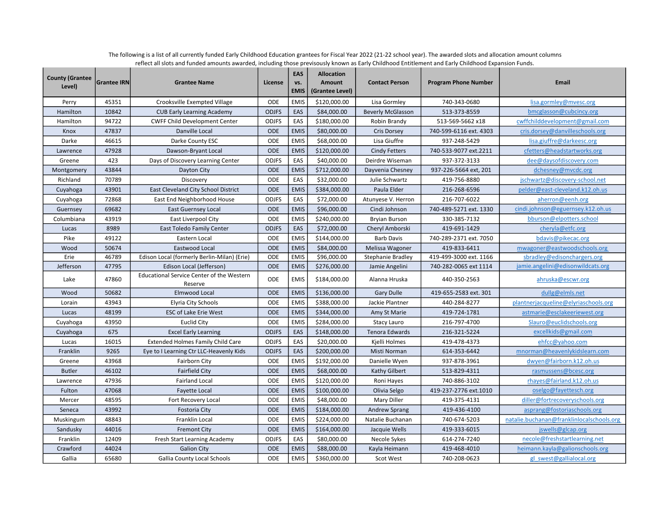| <b>County (Grantee</b><br>Level) | <b>Grantee IRN</b> | <b>Grantee Name</b>                                  | License      | EAS<br>vs.<br><b>EMIS</b> | <b>Allocation</b><br>Amount<br>(Grantee Level) | <b>Contact Person</b>    | <b>Program Phone Number</b> | <b>Email</b>                              |
|----------------------------------|--------------------|------------------------------------------------------|--------------|---------------------------|------------------------------------------------|--------------------------|-----------------------------|-------------------------------------------|
| Perry                            | 45351              | Crooksville Exempted Village                         | ODE          | <b>EMIS</b>               | \$120,000.00                                   | Lisa Gormley             | 740-343-0680                | lisa.gormley@mvesc.org                    |
| Hamilton                         | 10842              | <b>CUB Early Learning Academy</b>                    | <b>ODJFS</b> | EAS                       | \$84,000.00                                    | <b>Beverly McGlasson</b> | 513-373-8559                | bmcglasson@cubcincy.org                   |
| Hamilton                         | 94722              | <b>CWFF Child Development Center</b>                 | <b>ODJFS</b> | EAS                       | \$180,000.00                                   | Robin Brandy             | 513-569-5662 x18            | cwffchilddevelopment@gmail.com            |
| Knox                             | 47837              | Danville Local                                       | <b>ODE</b>   | <b>EMIS</b>               | \$80,000.00                                    | Cris Dorsey              | 740-599-6116 ext. 4303      | cris.dorsey@danvilleschools.org           |
| Darke                            | 46615              | Darke County ESC                                     | ODE          | <b>EMIS</b>               | \$68,000.00                                    | Lisa Giuffre             | 937-248-5429                | lisa.giuffre@darkeesc.org                 |
| Lawrence                         | 47928              | Dawson-Bryant Local                                  | <b>ODE</b>   | <b>EMIS</b>               | \$120,000.00                                   | <b>Cindy Fetters</b>     | 740-533-9077 ext.2211       | cfetters@headstartworks.org               |
| Greene                           | 423                | Days of Discovery Learning Center                    | <b>ODJFS</b> | EAS                       | \$40,000.00                                    | Deirdre Wiseman          | 937-372-3133                | dee@daysofdiscovery.com                   |
| Montgomery                       | 43844              | Dayton City                                          | <b>ODE</b>   | <b>EMIS</b>               | \$712,000.00                                   | Dayvenia Chesney         | 937-226-5664 ext, 201       | dchesney@mvcdc.org                        |
| Richland                         | 70789              | Discovery                                            | ODE          | EAS                       | \$32,000.00                                    | Julie Schwartz           | 419-756-8880                | jschwartz@discovery-school.net            |
| Cuyahoga                         | 43901              | East Cleveland City School District                  | <b>ODE</b>   | <b>EMIS</b>               | \$384,000.00                                   | Paula Elder              | 216-268-6596                | pelder@east-cleveland.k12.oh.us           |
| Cuyahoga                         | 72868              | East End Neighborhood House                          | <b>ODJFS</b> | EAS                       | \$72,000.00                                    | Atunyese V. Herron       | 216-707-6022                | aherron@eenh.org                          |
| Guernsey                         | 69682              | <b>East Guernsey Local</b>                           | <b>ODE</b>   | <b>EMIS</b>               | \$96,000.00                                    | Cindi Johnson            | 740-489-5271 ext. 1330      | cindi.johnson@eguernsey.k12.oh.us         |
| Columbiana                       | 43919              | East Liverpool City                                  | ODE          | <b>EMIS</b>               | \$240,000.00                                   | <b>Bryian Burson</b>     | 330-385-7132                | bburson@elpotters.school                  |
| Lucas                            | 8989               | East Toledo Family Center                            | <b>ODJFS</b> | EAS                       | \$72,000.00                                    | Cheryl Amborski          | 419-691-1429                | cheryla@etfc.org                          |
| Pike                             | 49122              | Eastern Local                                        | <b>ODE</b>   | <b>EMIS</b>               | \$144,000.00                                   | <b>Barb Davis</b>        | 740-289-2371 ext. 7050      | bdavis@pikecac.org                        |
| Wood                             | 50674              | Eastwood Local                                       | <b>ODE</b>   | <b>EMIS</b>               | \$84,000.00                                    | Melissa Wagoner          | 419-833-6411                | mwagoner@eastwoodschools.org              |
| Erie                             | 46789              | Edison Local (formerly Berlin-Milan) (Erie)          | ODE          | <b>EMIS</b>               | \$96,000.00                                    | <b>Stephanie Bradley</b> | 419-499-3000 ext. 1166      | sbradley@edisonchargers.org               |
| Jefferson                        | 47795              | Edison Local (Jefferson)                             | <b>ODE</b>   | <b>EMIS</b>               | \$276,000.00                                   | Jamie Angelini           | 740-282-0065 ext 1114       | jamie.angelini@edisonwildcats.org         |
| Lake                             | 47860              | Educational Service Center of the Western<br>Reserve | <b>ODE</b>   | <b>EMIS</b>               | \$184,000.00                                   | Alanna Hruska            | 440-350-2563                | ahruska@escwr.org                         |
| Wood                             | 50682              | Elmwood Local                                        | <b>ODE</b>   | <b>EMIS</b>               | \$136,000.00                                   | <b>Gary Dulle</b>        | 419-655-2583 ext. 301       | dullg@elmls.net                           |
| Lorain                           | 43943              | Elyria City Schools                                  | ODE          | <b>EMIS</b>               | \$388,000.00                                   | Jackie Plantner          | 440-284-8277                | plantnerjacqueline@elyriaschools.org      |
| Lucas                            | 48199              | <b>ESC of Lake Erie West</b>                         | <b>ODE</b>   | <b>EMIS</b>               | \$344,000.00                                   | Amy St Marie             | 419-724-1781                | astmarie@esclakeeriewest.org              |
| Cuyahoga                         | 43950              | Euclid City                                          | <b>ODE</b>   | <b>EMIS</b>               | \$284,000.00                                   | Stacy Lauro              | 216-797-4700                | Slauro@euclidschools.org                  |
| Cuyahoga                         | 675                | <b>Excel Early Learning</b>                          | <b>ODJFS</b> | EAS                       | \$148,000.00                                   | Tenora Edwards           | 216-321-5224                | excellkids@gmail.com                      |
| Lucas                            | 16015              | <b>Extended Holmes Family Child Care</b>             | <b>ODJFS</b> | EAS                       | \$20,000.00                                    | Kjelli Holmes            | 419-478-4373                | ehfcc@yahoo.com                           |
| Franklin                         | 9265               | Eye to I Learning Ctr LLC-Heavenly Kids              | <b>ODJFS</b> | EAS                       | \$200,000.00                                   | Misti Norman             | 614-353-6442                | mnorman@heavenlykidslearn.com             |
| Greene                           | 43968              | <b>Fairborn City</b>                                 | <b>ODE</b>   | <b>EMIS</b>               | \$192,000.00                                   | Danielle Wyen            | 937-878-3961                | dwyen@fairborn.k12.oh.us                  |
| <b>Butler</b>                    | 46102              | <b>Fairfield City</b>                                | <b>ODE</b>   | <b>EMIS</b>               | \$68,000.00                                    | Kathy Gilbert            | 513-829-4311                | rasmussens@bcesc.org                      |
| Lawrence                         | 47936              | <b>Fairland Local</b>                                | ODE          | <b>EMIS</b>               | \$120,000.00                                   | Roni Hayes               | 740-886-3102                | rhayes@fairland.k12.oh.us                 |
| Fulton                           | 47068              | Fayette Local                                        | <b>ODE</b>   | <b>EMIS</b>               | \$100,000.00                                   | Olivia Selgo             | 419-237-2776 ext.1010       | oselgo@fayettesch.org                     |
| Mercer                           | 48595              | Fort Recovery Local                                  | ODE          | <b>EMIS</b>               | \$48,000.00                                    | Mary Diller              | 419-375-4131                | diller@fortrecoveryschools.org            |
| Seneca                           | 43992              | <b>Fostoria City</b>                                 | <b>ODE</b>   | <b>EMIS</b>               | \$184,000.00                                   | <b>Andrew Sprang</b>     | 419-436-4100                | asprang@fostoriaschools.org               |
| Muskingum                        | 48843              | Franklin Local                                       | <b>ODE</b>   | <b>EMIS</b>               | \$224,000.00                                   | Natalie Buchanan         | 740-674-5203                | natalie.buchanan@franklinlocalschools.org |
| Sandusky                         | 44016              | <b>Fremont City</b>                                  | <b>ODE</b>   | <b>EMIS</b>               | \$164,000.00                                   | Jacquie Wells            | 419-333-6015                | jswells@glcap.org                         |
| Franklin                         | 12409              | Fresh Start Learning Academy                         | <b>ODJFS</b> | EAS                       | \$80,000.00                                    | Necole Sykes             | 614-274-7240                | necole@freshstartlearning.net             |
| Crawford                         | 44024              | <b>Galion City</b>                                   | <b>ODE</b>   | <b>EMIS</b>               | \$88,000.00                                    | Kayla Heimann            | 419-468-4010                | heimann.kayla@galionschools.org           |
| Gallia                           | 65680              | <b>Gallia County Local Schools</b>                   | <b>ODE</b>   | <b>EMIS</b>               | \$360,000.00                                   | <b>Scot West</b>         | 740-208-0623                | gl swest@gallialocal.org                  |

The following is a list of all currently funded Early Childhood Education grantees for Fiscal Year 2022 (21-22 school year). The awarded slots and allocation amount columns reflect all slots and funded amounts awarded, including those previsously known as Early Childhood Entitlement and Early Childhood Expansion Funds.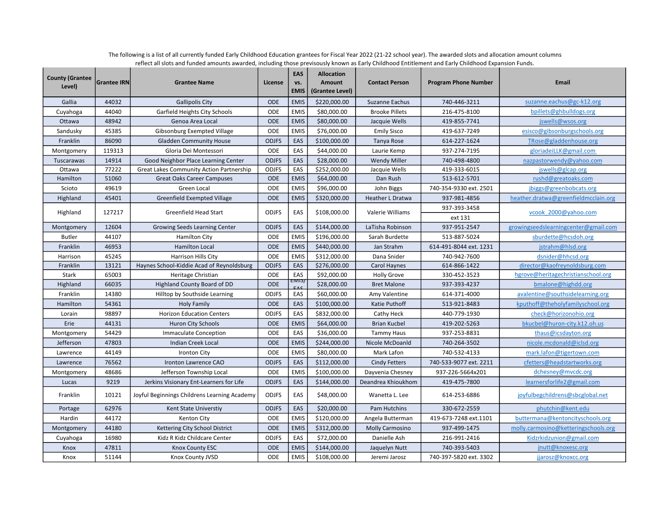| <b>County (Grantee</b><br>Level) | <b>Grantee IRN</b> | <b>Grantee Name</b>                             | License      | <b>EAS</b><br>VS.<br><b>EMIS</b> | <b>Allocation</b><br>Amount<br>(Grantee Level) | <b>Contact Person</b> | <b>Program Phone Number</b> | Email                                |
|----------------------------------|--------------------|-------------------------------------------------|--------------|----------------------------------|------------------------------------------------|-----------------------|-----------------------------|--------------------------------------|
| Gallia                           | 44032              | <b>Gallipolis City</b>                          | <b>ODE</b>   | <b>EMIS</b>                      | \$220,000.00                                   | Suzanne Eachus        | 740-446-3211                | suzanne.eachus@gc-k12.org            |
| Cuyahoga                         | 44040              | Garfield Heights City Schools                   | ODE          | <b>EMIS</b>                      | \$80,000.00                                    | <b>Brooke Pillets</b> | 216-475-8100                | bpillets@ghbulldogs.org              |
| Ottawa                           | 48942              | Genoa Area Local                                | <b>ODE</b>   | <b>EMIS</b>                      | \$80,000.00                                    | Jacquie Wells         | 419-855-7741                | jswells@wsos.org                     |
| Sandusky                         | 45385              | Gibsonburg Exempted Village                     | <b>ODE</b>   | <b>EMIS</b>                      | \$76,000.00                                    | <b>Emily Sisco</b>    | 419-637-7249                | esisco@gibsonburgschools.org         |
| Franklin                         | 86090              | <b>Gladden Community House</b>                  | <b>ODJFS</b> | EAS                              | \$100,000.00                                   | Tanya Rose            | 614-227-1624                | TRose@gladdenhouse.org               |
| Montgomery                       | 119313             | Gloria Dei Montessori                           | ODE          | EAS                              | \$44,000.00                                    | Laurie Kemp           | 937-274-7195                | gloriadeiLLK@gmail.com               |
| Tuscarawas                       | 14914              | Good Neighbor Place Learning Center             | <b>ODJFS</b> | EAS                              | \$28,000.00                                    | <b>Wendy Miller</b>   | 740-498-4800                | nazpastorwendy@yahoo.com             |
| Ottawa                           | 77222              | <b>Great Lakes Community Action Partnership</b> | <b>ODJFS</b> | EAS                              | \$252,000.00                                   | Jacquie Wells         | 419-333-6015                | jswells@glcap.org                    |
| Hamilton                         | 51060              | <b>Great Oaks Career Campuses</b>               | <b>ODE</b>   | <b>EMIS</b>                      | \$64,000.00                                    | Dan Rush              | 513-612-5701                | rushd@greatoaks.com                  |
| Scioto                           | 49619              | Green Local                                     | ODE          | <b>EMIS</b>                      | \$96,000.00                                    | John Biggs            | 740-354-9330 ext. 2501      | jbiggs@greenbobcats.org              |
| Highland                         | 45401              | Greenfield Exempted Village                     | <b>ODE</b>   | <b>EMIS</b>                      | \$320,000.00                                   | Heather L Dratwa      | 937-981-4856                | heather.dratwa@greenfieldmcclain.org |
| Highland                         | 127217             | Greenfield Head Start                           | <b>ODJFS</b> | EAS                              | \$108,000.00                                   | Valerie Williams      | 937-393-3458                | vcook 2000@yahoo.com                 |
|                                  |                    |                                                 |              |                                  |                                                |                       | ext 131                     |                                      |
| Montgomery                       | 12604              | Growing Seeds Learning Center                   | <b>ODJFS</b> | EAS                              | \$144,000.00                                   | LaTisha Robinson      | 937-951-2547                | growingseedslearningcenter@gmail.com |
| <b>Butler</b>                    | 44107              | <b>Hamilton City</b>                            | ODE          | <b>EMIS</b>                      | \$196,000.00                                   | Sarah Burdette        | 513-887-5024                | sburdette@hcsdoh.org                 |
| Franklin                         | 46953              | <b>Hamilton Local</b>                           | <b>ODE</b>   | <b>EMIS</b>                      | \$440,000.00                                   | Jan Strahm            | 614-491-8044 ext. 1231      | jstrahm@hlsd.org                     |
| Harrison                         | 45245              | <b>Harrison Hills City</b>                      | ODE          | <b>EMIS</b>                      | \$312,000.00                                   | Dana Snider           | 740-942-7600                | dsnider@hhcsd.org                    |
| Franklin                         | 13121              | Haynes School-Kiddie Acad of Reynoldsburg       | <b>ODJFS</b> | EAS                              | \$276,000.00                                   | Carol Haynes          | 614-866-1422                | director@kaofreynoldsburg.com        |
| Stark                            | 65003              | Heritage Christian                              | ODE          | EAS                              | \$92,000.00                                    | <b>Holly Grove</b>    | 330-452-3523                | hgrove@heritagechristianschool.org   |
| Highland                         | 66035              | Highland County Board of DD                     | ODE          | EIVII 3/                         | \$28,000.00                                    | <b>Bret Malone</b>    | 937-393-4237                | bmalone@highdd.org                   |
| Franklin                         | 14380              | Hilltop by Southside Learning                   | <b>ODJFS</b> | EAS                              | \$60,000.00                                    | Amy Valentine         | 614-371-4000                | avalentine@southsidelearning.org     |
| Hamilton                         | 54361              | Holy Family                                     | <b>ODE</b>   | EAS                              | \$100,000.00                                   | Katie Puthoff         | 513-921-8483                | kputhoff@theholyfamilyschool.org     |
| Lorain                           | 98897              | <b>Horizon Education Centers</b>                | <b>ODJFS</b> | EAS                              | \$832,000.00                                   | Cathy Heck            | 440-779-1930                | check@horizonohio.org                |
| Erie                             | 44131              | Huron City Schools                              | <b>ODE</b>   | <b>EMIS</b>                      | \$64,000.00                                    | <b>Brian Kucbel</b>   | 419-202-5263                | bkucbel@huron-city.k12.oh.us         |
| Montgomery                       | 54429              | <b>Immaculate Conception</b>                    | ODE          | EAS                              | \$36,000.00                                    | <b>Tammy Haus</b>     | 937-253-8831                | thaus@icsdayton.org                  |
| Jefferson                        | 47803              | Indian Creek Local                              | <b>ODE</b>   | <b>EMIS</b>                      | \$244,000.00                                   | Nicole McDoanld       | 740-264-3502                | nicole.mcdonald@iclsd.org            |
| Lawrence                         | 44149              | <b>Ironton City</b>                             | ODE          | <b>EMIS</b>                      | \$80,000.00                                    | Mark Lafon            | 740-532-4133                | mark.lafon@tigertown.com             |
| Lawrence                         | 76562              | Ironton Lawrence CAO                            | <b>ODJFS</b> | EAS                              | \$112,000.00                                   | <b>Cindy Fetters</b>  | 740-533-9077 ext. 2211      | cfetters@headstartworks.org          |
| Montgomery                       | 48686              | Jefferson Township Local                        | ODE          | <b>EMIS</b>                      | \$100,000.00                                   | Dayvenia Chesney      | 937-226-5664x201            | dchesney@mvcdc.org                   |
| Lucas                            | 9219               | Jerkins Visionary Ent-Learners for Life         | <b>ODJFS</b> | EAS                              | \$144,000.00                                   | Deandrea Khioukhom    | 419-475-7800                | learnersforlife2@gmail.com           |
| Franklin                         | 10121              | Joyful Beginnings Childrens Learning Academy    | <b>ODJFS</b> | EAS                              | \$48,000.00                                    | Wanetta L. Lee        | 614-253-6886                | joyfulbegchildrens@sbcglobal.net     |
| Portage                          | 62976              | Kent State Universtiy                           | <b>ODJFS</b> | EAS                              | \$20,000.00                                    | Pam Hutchins          | 330-672-2559                | phutchin@kent.edu                    |
| Hardin                           | 44172              | Kenton City                                     | ODE          | <b>EMIS</b>                      | \$120,000.00                                   | Angela Butterman      | 419-673-7248 ext.1101       | buttermana@kentoncityschools.org     |
| Montgomery                       | 44180              | Kettering City School District                  | <b>ODE</b>   | <b>EMIS</b>                      | \$312,000.00                                   | Molly Carmosino       | 937-499-1475                | molly.carmosino@ketteringschools.org |
| Cuyahoga                         | 16980              | Kidz R Kidz Childcare Center                    | <b>ODJFS</b> | EAS                              | \$72,000.00                                    | Danielle Ash          | 216-991-2416                | Kidzrkidzunion@gmail.com             |
| Knox                             | 47811              | <b>Knox County ESC</b>                          | <b>ODE</b>   | <b>EMIS</b>                      | \$144,000.00                                   | Jaquelyn Nutt         | 740-393-5403                | jnutt@knoxesc.org                    |
| Knox                             | 51144              | Knox County JVSD                                | ODE          | <b>EMIS</b>                      | \$108,000.00                                   | Jeremi Jarosz         | 740-397-5820 ext. 3302      | jjarosz@knoxcc.org                   |

The following is a list of all currently funded Early Childhood Education grantees for Fiscal Year 2022 (21-22 school year). The awarded slots and allocation amount columns reflect all slots and funded amounts awarded, including those previsously known as Early Childhood Entitlement and Early Childhood Expansion Funds.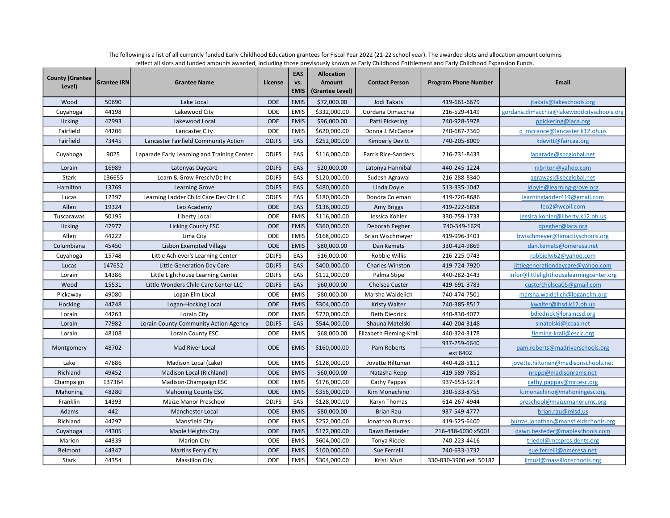| <b>County (Grantee</b><br>Level) | <b>Grantee IRN</b> | <b>Grantee Name</b>                         | License      | <b>EAS</b><br>VS.<br><b>EMIS</b> | <b>Allocation</b><br><b>Amount</b><br>(Grantee Level) | <b>Contact Person</b>   | <b>Program Phone Number</b> | <b>Email</b>                              |
|----------------------------------|--------------------|---------------------------------------------|--------------|----------------------------------|-------------------------------------------------------|-------------------------|-----------------------------|-------------------------------------------|
| Wood                             | 50690              | Lake Local                                  | <b>ODE</b>   | <b>EMIS</b>                      | \$72,000.00                                           | Jodi Takats             | 419-661-6679                | jtakats@lakeschools.org                   |
| Cuyahoga                         | 44198              | Lakewood City                               | ODE          | <b>EMIS</b>                      | \$332,000.00                                          | Gordana Dimacchia       | 216-529-4149                | gordana.dimacchia@lakewoodcityschools.org |
| Licking                          | 47993              | Lakewood Local                              | <b>ODE</b>   | <b>EMIS</b>                      | \$96,000.00                                           | <b>Patti Pickering</b>  | 740-928-5978                | ppickering@laca.org                       |
| Fairfield                        | 44206              | Lancaster City                              | ODE          | <b>EMIS</b>                      | \$620,000.00                                          | Donna J. McCance        | 740-687-7360                | d mccance@lancaster.k12.oh.us             |
| Fairfield                        | 73445              | Lancaster Fairfield Community Action        | <b>ODJFS</b> | EAS                              | \$252,000.00                                          | <b>Kimberly Devitt</b>  | 740-205-8009                | kdevitt@faircaa.org                       |
| Cuyahoga                         | 9025               | Laparade Early Learning and Training Center | <b>ODJFS</b> | EAS                              | \$116,000.00                                          | Parris Rice-Sanders     | 216-731-8433                | laparade@sbcglobal.net                    |
| Lorain                           | 16989              | Latonyas Daycare                            | <b>ODJFS</b> | EAS                              | \$20,000.00                                           | Latonya Hannibal        | 440-245-1224                | nibriton@yahoo.com                        |
| Stark                            | 136655             | Learn & Grow Presch/Dc Inc                  | <b>ODJFS</b> | EAS                              | \$120,000.00                                          | Sudesh Agrawal          | 216-288-8340                | agrawasl@sbcglobal.net                    |
| Hamilton                         | 13769              | <b>Learning Grove</b>                       | <b>ODJFS</b> | EAS                              | \$480,000.00                                          | Linda Doyle             | 513-335-1047                | ldoyle@learning-grove.org                 |
| Lucas                            | 12397              | Learning Ladder Child Care Dev Ctr LLC      | <b>ODJFS</b> | EAS                              | \$180,000.00                                          | Dondra Coleman          | 419-720-8686                | learningladder419@gmail.com               |
| Allen                            | 19324              | Leo Academy                                 | <b>ODE</b>   | EAS                              | \$136,000.00                                          | Amy Briggs              | 419-222-6858                | leo2@wcoil.com                            |
| Tuscarawas                       | 50195              | Liberty Local                               | ODE          | <b>EMIS</b>                      | \$116,000.00                                          | Jessica Kohler          | 330-759-1733                | jessica.kohler@liberty.k12.oh.us          |
| Licking                          | 47977              | Licking County ESC                          | <b>ODE</b>   | <b>EMIS</b>                      | \$360,000.00                                          | Deborah Pegher          | 740-349-1629                | dpegher@laca.org                          |
| Allen                            | 44222              | Lima City                                   | ODE          | <b>EMIS</b>                      | \$168,000.00                                          | Brian Wischmeyer        | 419-996-3403                | bwischmeyer@limacityschools.org           |
| Columbiana                       | 45450              | Lisbon Exempted Village                     | <b>ODE</b>   | <b>EMIS</b>                      | \$80,000.00                                           | Dan Kemats              | 330-424-9869                | dan.kemats@omeresa.net                    |
| Cuyahoga                         | 15748              | Little Achiever's Learning Center           | <b>ODJFS</b> | EAS                              | \$16,000.00                                           | Robbie Willis           | 216-225-0743                | robbielw62@yahoo.com                      |
| Lucas                            | 147652             | Little Generation Day Care                  | <b>ODJFS</b> | EAS                              | \$400,000.00                                          | <b>Charles Winston</b>  | 419-724-7920                | littlegenerationdaycare@yahoo.com         |
| Lorain                           | 14386              | Little Lighthouse Learning Center           | <b>ODJFS</b> | EAS                              | \$112,000.00                                          | Palma Stipe             | 440-282-1443                | infor@littlelighthouselearningcenter.org  |
| Wood                             | 15531              | Little Wonders Child Care Center LLC        | <b>ODJFS</b> | EAS                              | \$60,000.00                                           | Chelsea Custer          | 419-691-3783                | custerchelsea05@gmail.com                 |
| Pickaway                         | 49080              | Logan Elm Local                             | ODE          | <b>EMIS</b>                      | \$80,000.00                                           | Marsha Waidelich        | 740-474-7501                | marsha.waidelich@loganelm.org             |
| Hocking                          | 44248              | Logan-Hocking Local                         | ODE          | <b>EMIS</b>                      | \$304,000.00                                          | <b>Kristy Walter</b>    | 740-385-8517                | kwalter@lhsd.k12.oh.us                    |
| Lorain                           | 44263              | Lorain City                                 | ODE          | <b>EMIS</b>                      | \$720,000.00                                          | <b>Beth Diedrick</b>    | 440-830-4077                | bdiedrick@loraincsd.org                   |
| Lorain                           | 77982              | Lorain County Community Action Agency       | <b>ODJFS</b> | EAS                              | \$544,000.00                                          | Shauna Matelski         | 440-204-3148                | smatelski@lccaa.net                       |
| Lorain                           | 48108              | Lorain County ESC                           | ODE          | <b>EMIS</b>                      | \$68,000.00                                           | Elizabeth Fleming-Krall | 440-324-3178                | fleming-krall@esclc.org                   |
| Montgomery                       | 48702              | Mad River Local                             | <b>ODE</b>   | <b>EMIS</b>                      | \$160,000.00                                          | Pam Roberts             | 937-259-6640                | pam.roberts@madriverschools.org           |
|                                  |                    |                                             |              |                                  |                                                       |                         | ext 8402                    |                                           |
| Lake                             | 47886              | Madison Local (Lake)                        | <b>ODE</b>   | <b>EMIS</b>                      | \$128,000.00                                          | Jovette Hiltunen        | 440-428-5111                | jovette.hiltunen@madisonschools.net       |
| Richland                         | 49452              | Madison Local (Richland)                    | <b>ODE</b>   | <b>EMIS</b>                      | \$60,000.00                                           | Natasha Repp            | 419-589-7851                | nrepp@madisonrams.net                     |
| Champaign                        | 137364             | Madison-Champaign ESC                       | ODE          | <b>EMIS</b>                      | \$176,000.00                                          | Cathy Pappas            | 937-653-5214                | cathy.pappas@mrcesc.org                   |
| Mahoning                         | 48280              | <b>Mahoning County ESC</b>                  | <b>ODE</b>   | <b>EMIS</b>                      | \$356,000.00                                          | Kim Monachino           | 330-533-8755                | k.monachino@mahoningesc.org               |
| Franklin                         | 14393              | Maize Manor Preschool                       | <b>ODJFS</b> | EAS                              | \$128,000.00                                          | Karyn Thomas            | 614-267-4944                | preschool@maizemanorumc.org               |
| Adams                            | 442                | Manchester Local                            | <b>ODE</b>   | <b>EMIS</b>                      | \$80,000.00                                           | <b>Brian Rau</b>        | 937-549-4777                | brian.rau@mlsd.us                         |
| Richland                         | 44297              | Mansfield City                              | ODE          | <b>EMIS</b>                      | \$252,000.00                                          | Jonathan Burras         | 419-525-6400                | burras.jonathan@mansfieldschools.org      |
| Cuyahoga                         | 44305              | Maple Heights City                          | <b>ODE</b>   | <b>EMIS</b>                      | \$172,000.00                                          | Dawn Besteder           | 216-438-6030 x5001          | dawn.besteder@mapleschools.com            |
| Marion                           | 44339              | <b>Marion City</b>                          | ODE          | <b>EMIS</b>                      | \$604,000.00                                          | Tonya Riedel            | 740-223-4416                | triedel@mcspresidents.org                 |
| Belmont                          | 44347              | <b>Martins Ferry City</b>                   | <b>ODE</b>   | <b>EMIS</b>                      | \$100,000.00                                          | Sue Ferrelli            | 740-633-1732                | sue.ferrelli@omeresa.net                  |
| Stark                            | 44354              | <b>Massillon City</b>                       | ODE          | <b>EMIS</b>                      | \$304,000.00                                          | Kristi Muzi             | 330-830-3900 ext. 50182     | kmuzi@massillonschools.org                |

The following is a list of all currently funded Early Childhood Education grantees for Fiscal Year 2022 (21-22 school year). The awarded slots and allocation amount columns reflect all slots and funded amounts awarded, including those previsously known as Early Childhood Entitlement and Early Childhood Expansion Funds.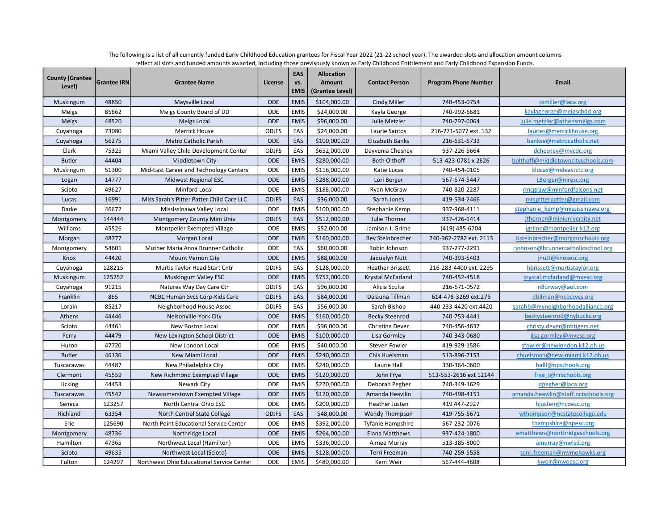| <b>County (Grantee</b><br>Level) | <b>Grantee IRN</b> | <b>Grantee Name</b>                       | License      | <b>EAS</b><br>VS.<br><b>EMIS</b> | <b>Allocation</b><br>Amount<br>(Grantee Level) | <b>Contact Person</b>    | <b>Program Phone Number</b> | <b>Email</b>                         |
|----------------------------------|--------------------|-------------------------------------------|--------------|----------------------------------|------------------------------------------------|--------------------------|-----------------------------|--------------------------------------|
| Muskingum                        | 48850              | Maysville Local                           | <b>ODE</b>   | <b>EMIS</b>                      | \$104,000.00                                   | Cindy Miller             | 740-453-0754                | csmiller@laca.org                    |
| Meigs                            | 85662              | Meigs County Board of DD                  | ODE          | <b>EMIS</b>                      | \$24,000.00                                    | Kayla George             | 740-992-6681                | kaylageorge@meigscbdd.org            |
| <b>Meigs</b>                     | 48520              | Meigs Local                               | ODE          | <b>EMIS</b>                      | \$96,000.00                                    | Julie Metzler            | 740-797-0064                | julie.metzler@athensmeigs.com        |
| Cuyahoga                         | 73080              | <b>Merrick House</b>                      | <b>ODJFS</b> | EAS                              | \$24,000.00                                    | Laurie Santos            | 216-771-5077 ext. 132       | lauries@merrickhouse.org             |
| Cuyahoga                         | 56275              | <b>Metro Catholic Parish</b>              | <b>ODE</b>   | EAS                              | \$100,000.00                                   | <b>Elizabeth Banks</b>   | 216-631-5733                | bankse@metrocatholic.net             |
| Clark                            | 75325              | Miami Valley Child Development Center     | <b>ODJFS</b> | EAS                              | \$652,000.00                                   | Dayvenia Chesney         | 937-226-5664                | dchesney@mvcdc.org                   |
| <b>Butler</b>                    | 44404              | Middletown City                           | ODE          | <b>EMIS</b>                      | \$280,000.00                                   | <b>Beth Olthoff</b>      | 513-423-0781 x 2626         | bolthoff@middletowncityschools.com   |
| Muskingum                        | 51300              | Mid-East Career and Technology Centers    | ODE          | <b>EMIS</b>                      | \$116,000.00                                   | Katie Lucas              | 740-454-0105                | klucas@mideastctc.org                |
| Logan                            | 14777              | <b>Midwest Regional ESC</b>               | <b>ODE</b>   | <b>EMIS</b>                      | \$288,000.00                                   | Lori Berger              | 567-674-5447                | LBerger@mresc.org                    |
| Scioto                           | 49627              | <b>Minford Local</b>                      | <b>ODE</b>   | <b>EMIS</b>                      | \$188,000.00                                   | Ryan McGraw              | 740-820-2287                | rmcgraw@minfordfalcons.net           |
| Lucas                            | 16991              | Miss Sarah's Pitter Patter Child Care LLC | <b>ODJFS</b> | EAS                              | \$36,000.00                                    | Sarah Jones              | 419-534-2466                | mrspitterpatter@gmail.com            |
| Darke                            | 46672              | Mississinawa Valley Local                 | <b>ODE</b>   | <b>EMIS</b>                      | \$100,000.00                                   | Stephanie Kemp           | 937-968-4111                | stephanie kemp@mississinawa.org      |
| Montgomery                       | 144444             | Montgomery County Mini Univ               | <b>ODJFS</b> | EAS                              | \$512,000.00                                   | Julie Thorner            | 937-426-1414                | jthorner@miniuniversity.net          |
| Williams                         | 45526              | Montpelier Exempted Village               | <b>ODE</b>   | <b>EMIS</b>                      | \$52,000.00                                    | Jamison J. Grime         | (419) 485-6704              | jgrime@montpelier-k12.org            |
| Morgan                           | 48777              | Morgan Local                              | <b>ODE</b>   | <b>EMIS</b>                      | \$160,000.00                                   | <b>Bev Steinbrecher</b>  | 740-962-2782 ext. 2113      | bsteinbrecher@morganschools.org      |
| Montgomery                       | 54601              | Mother Maria Anna Brunner Catholic        | ODE          | EAS                              | \$60,000.00                                    | Robin Johnson            | 937-277-2291                | rjohnson@brunnercatholicschool.org   |
| Knox                             | 44420              | Mount Vernon City                         | <b>ODE</b>   | <b>EMIS</b>                      | \$88,000.00                                    | Jaquelyn Nutt            | 740-393-5403                | jnutt@knoxesc.org                    |
| Cuyahoga                         | 128215             | Murtis Taylor Head Start Cntr             | <b>ODJFS</b> | EAS                              | \$128,000.00                                   | <b>Heather Brissett</b>  | 216-283-4400 ext. 2295      | hbrissett@murtistaylor.org           |
| Muskingum                        | 125252             | <b>Muskingum Valley ESC</b>               | <b>ODE</b>   | <b>EMIS</b>                      | \$752,000.00                                   | Krystal McFarland        | 740-452-4518                | krystal.mcfarland@mvesc.org          |
| Cuyahoga                         | 91215              | Natures Way Day Care Ctr                  | <b>ODJFS</b> | EAS                              | \$96,000.00                                    | Alicia Sculte            | 216-671-0572                | n8urway@aol.com                      |
| Franklin                         | 865                | NCBC Human Svcs Corp-Kids Care            | <b>ODJFS</b> | EAS                              | \$84,000.00                                    | Dalauna Tillman          | 614-478-3269 ext.276        | dtillman@ncbcsvcs.org                |
| Lorain                           | 85217              | Neighborhood House Assoc                  | <b>ODJFS</b> | EAS                              | \$56,000.00                                    | Sarah Bishop             | 440-233-4420 ext.4420       | sarahb@myneighborhoodalliance.org    |
| Athens                           | 44446              | Nelsonville-York City                     | <b>ODE</b>   | <b>EMIS</b>                      | \$160,000.00                                   | <b>Becky Steenrod</b>    | 740-753-4441                | beckysteenrod@nybucks.org            |
| Scioto                           | 44461              | <b>New Boston Local</b>                   | ODE          | <b>EMIS</b>                      | \$96,000.00                                    | Christina Dever          | 740-456-4637                | christy.dever@nbtigers.net           |
| Perry                            | 44479              | New Lexington School District             | <b>ODE</b>   | <b>EMIS</b>                      | \$100,000.00                                   | Lisa Gormley             | 740-343-0680                | lisa.gormley@mvesc.org               |
| Huron                            | 47720              | New London Local                          | ODE          | <b>EMIS</b>                      | \$40,000.00                                    | Steven Fowler            | 419-929-1586                | sfowler@newlondon.k12.oh.us          |
| <b>Butler</b>                    | 46136              | New Miami Local                           | <b>ODE</b>   | <b>EMIS</b>                      | \$240,000.00                                   | Chis Huelsman            | 513-896-7153                | chuelsman@new-miami.k12.oh.us        |
| Tuscarawas                       | 44487              | New Philadelphia City                     | ODE          | <b>EMIS</b>                      | \$240,000.00                                   | Laurie Hall              | 330-364-0600                | halll@npschools.org                  |
| Clermont                         | 45559              | New Richmond Exempted Village             | ODE          | <b>EMIS</b>                      | \$120,000.00                                   | John Frye                | 513-553-2616 ext 12144      | frye j@nrschools.org                 |
| Licking                          | 44453              | Newark City                               | ODE          | <b>EMIS</b>                      | \$220,000.00                                   | Deborah Pegher           | 740-349-1629                | dpegher@laca.org                     |
| Tuscarawas                       | 45542              | Newcomerstown Exempted Village            | <b>ODE</b>   | <b>EMIS</b>                      | \$120,000.00                                   | Amanda Heavilin          | 740-498-4151                | amanda.heavilin@staff.nctschools.org |
| Seneca                           | 123257             | North Central Ohio ESC                    | ODE          | <b>EMIS</b>                      | \$200,000.00                                   | <b>Heather Justen</b>    | 419 447-2927                | hjusten@ncoesc.org                   |
| Richland                         | 63354              | North Central State College               | <b>ODJFS</b> | EAS                              | \$48,000.00                                    | <b>Wendy Thompson</b>    | 419-755-5671                | wthompson@ncstatecollege.edu         |
| Erie                             | 125690             | North Point Educational Service Center    | ODE          | <b>EMIS</b>                      | \$392,000.00                                   | <b>Tyfanie Hampshire</b> | 567-232-0076                | thampshire@npesc.org                 |
| Montgomery                       | 48736              | Northridge Local                          | ODE          | <b>EMIS</b>                      | \$264,000.00                                   | <b>Elana Matthews</b>    | 937-424-1800                | ematthews@northridgeschools.org      |
| Hamilton                         | 47365              | Northwest Local (Hamilton)                | <b>ODE</b>   | <b>EMIS</b>                      | \$336,000.00                                   | Aimee Murray             | 513-385-8000                | amurray@nwlsd.org                    |
| Scioto                           | 49635              | Northwest Local (Scioto)                  | <b>ODE</b>   | <b>EMIS</b>                      | \$128,000.00                                   | Terri Freeman            | 740-259-5558                | terri.freeman@nwmohawks.org          |
| Fulton                           | 124297             | Northwest Ohio Educational Service Center | <b>ODE</b>   | <b>EMIS</b>                      | \$480,000.00                                   | Kerri Weir               | 567-444-4808                | kweir@nwoesc.org                     |

The following is a list of all currently funded Early Childhood Education grantees for Fiscal Year 2022 (21-22 school year). The awarded slots and allocation amount columns reflect all slots and funded amounts awarded, including those previsously known as Early Childhood Entitlement and Early Childhood Expansion Funds.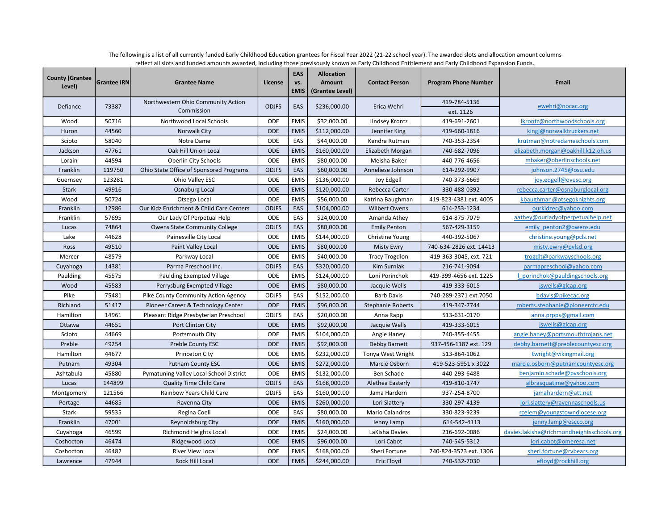| <b>County (Grantee</b><br>Level) | <b>Grantee IRN</b> | <b>Grantee Name</b>                      | License      | EAS<br>VS.<br><b>EMIS</b> | <b>Allocation</b><br><b>Amount</b><br>(Grantee Level) | <b>Contact Person</b>    | <b>Program Phone Number</b> | <b>Email</b>                              |
|----------------------------------|--------------------|------------------------------------------|--------------|---------------------------|-------------------------------------------------------|--------------------------|-----------------------------|-------------------------------------------|
| Defiance                         | 73387              | Northwestern Ohio Community Action       | <b>ODJFS</b> | EAS                       | \$236,000.00                                          | Erica Wehri              | 419-784-5136                | ewehri@nocac.org                          |
|                                  |                    | Commission                               |              |                           |                                                       |                          | ext. 1126                   |                                           |
| Wood                             | 50716              | Northwood Local Schools                  | ODE          | <b>EMIS</b>               | \$32,000.00                                           | Lindsey Krontz           | 419-691-2601                | lkrontz@northwoodschools.org              |
| Huron                            | 44560              | Norwalk City                             | <b>ODE</b>   | <b>EMIS</b>               | \$112,000.00                                          | Jennifer King            | 419-660-1816                | kingj@norwalktruckers.net                 |
| Scioto                           | 58040              | Notre Dame                               | ODE          | EAS                       | \$44,000.00                                           | Kendra Rutman            | 740-353-2354                | krutman@notredameschools.com              |
| Jackson                          | 47761              | Oak Hill Union Local                     | <b>ODE</b>   | <b>EMIS</b>               | \$160,000.00                                          | Elizabeth Morgan         | 740-682-7096                | elizabeth.morgan@oakhill.k12.oh.us        |
| Lorain                           | 44594              | Oberlin City Schools                     | ODE          | <b>EMIS</b>               | \$80,000.00                                           | Meisha Baker             | 440-776-4656                | mbaker@oberlinschools.net                 |
| Franklin                         | 119750             | Ohio State Office of Sponsored Programs  | <b>ODJFS</b> | EAS                       | \$60,000.00                                           | Anneliese Johnson        | 614-292-9907                | johnson.2745@osu.edu                      |
| Guernsey                         | 123281             | Ohio Valley ESC                          | <b>ODE</b>   | <b>EMIS</b>               | \$136,000.00                                          | Joy Edgell               | 740-373-6669                | joy.edgell@ovesc.org                      |
| <b>Stark</b>                     | 49916              | <b>Osnaburg Local</b>                    | <b>ODE</b>   | <b>EMIS</b>               | \$120,000.00                                          | Rebecca Carter           | 330-488-0392                | rebecca.carter@osnaburglocal.org          |
| Wood                             | 50724              | Otsego Local                             | <b>ODE</b>   | <b>EMIS</b>               | \$56,000.00                                           | Katrina Baughman         | 419-823-4381 ext. 4005      | kbaughman@otsegoknights.org               |
| Franklin                         | 12986              | Our Kidz Enrichment & Child Care Centers | <b>ODJFS</b> | EAS                       | \$104,000.00                                          | <b>Wilbert Owens</b>     | 614-253-1234                | ourkidzec@yahoo.com                       |
| Franklin                         | 57695              | Our Lady Of Perpetual Help               | ODE          | EAS                       | \$24,000.00                                           | Amanda Athey             | 614-875-7079                | aathey@ourladyofperpetualhelp.net         |
| Lucas                            | 74864              | <b>Owens State Community College</b>     | <b>ODJFS</b> | EAS                       | \$80,000.00                                           | <b>Emily Penton</b>      | 567-429-3159                | emily penton2@owens.edu                   |
| Lake                             | 44628              | Painesville City Local                   | ODE          | <b>EMIS</b>               | \$144,000.00                                          | Christine Young          | 440-392-5067                | christine.young@pcls.net                  |
| Ross                             | 49510              | Paint Valley Local                       | <b>ODE</b>   | <b>EMIS</b>               | \$80,000.00                                           | <b>Misty Ewry</b>        | 740-634-2826 ext. 14413     | misty.ewry@pvlsd.org                      |
| Mercer                           | 48579              | Parkway Local                            | ODE          | <b>EMIS</b>               | \$40,000.00                                           | <b>Tracy Trogdlon</b>    | 419-363-3045, ext. 721      | trogdlt@parkwayschools.org                |
| Cuyahoga                         | 14381              | Parma Preschool Inc.                     | <b>ODJFS</b> | EAS                       | \$320,000.00                                          | Kim Surniak              | 216-741-9094                | parmapreschool@yahoo.com                  |
| Paulding                         | 45575              | Paulding Exempted Village                | ODE          | <b>EMIS</b>               | \$124,000.00                                          | Loni Porinchok           | 419-399-4656 ext. 1225      | I porinchok@pauldingschools.org           |
| Wood                             | 45583              | Perrysburg Exempted Village              | <b>ODE</b>   | <b>EMIS</b>               | \$80,000.00                                           | Jacquie Wells            | 419-333-6015                | jswells@glcap.org                         |
| Pike                             | 75481              | Pike County Community Action Agency      | <b>ODJFS</b> | EAS                       | \$152,000.00                                          | <b>Barb Davis</b>        | 740-289-2371 ext.7050       | bdavis@pikecac.org                        |
| Richland                         | 51417              | Pioneer Career & Technology Center       | <b>ODE</b>   | <b>EMIS</b>               | \$96,000.00                                           | <b>Stephanie Roberts</b> | 419-347-7744                | roberts.stephanie@pioneerctc.edu          |
| Hamilton                         | 14961              | Pleasant Ridge Presbyterian Preschool    | <b>ODJFS</b> | EAS                       | \$20,000.00                                           | Anna Rapp                | 513-631-0170                | anna.prpps@gmail.com                      |
| Ottawa                           | 44651              | Port Clinton City                        | <b>ODE</b>   | <b>EMIS</b>               | \$92,000.00                                           | Jacquie Wells            | 419-333-6015                | jswells@glcap.org                         |
| Scioto                           | 44669              | Portsmouth City                          | ODE          | <b>EMIS</b>               | \$104,000.00                                          | Angie Haney              | 740-355-4455                | angie.haney@portsmouthtrojans.net         |
| Preble                           | 49254              | <b>Preble County ESC</b>                 | <b>ODE</b>   | <b>EMIS</b>               | \$92,000.00                                           | Debby Barnett            | 937-456-1187 ext. 129       | debby.barnett@preblecountyesc.org         |
| Hamilton                         | 44677              | Princeton City                           | ODE          | <b>EMIS</b>               | \$232,000.00                                          | Tonya West Wright        | 513-864-1062                | twright@vikingmail.org                    |
| Putnam                           | 49304              | <b>Putnam County ESC</b>                 | <b>ODE</b>   | <b>EMIS</b>               | \$272,000.00                                          | Marcie Osborn            | 419-523-5951 x 3022         | marcie.osborn@putnamcountyesc.org         |
| Ashtabula                        | 45880              | Pymatuning Valley Local School District  | ODE          | <b>EMIS</b>               | \$132,000.00                                          | Ben Schade               | 440-293-6488                | benjamin.schade@pvschools.org             |
| Lucas                            | 144899             | <b>Quality Time Child Care</b>           | <b>ODJFS</b> | EAS                       | \$168,000.00                                          | Alethea Easterly         | 419-810-1747                | albrasquatime@yahoo.com                   |
| Montgomery                       | 121566             | Rainbow Years Child Care                 | <b>ODJFS</b> | EAS                       | \$160,000.00                                          | Jama Hardern             | 937-254-8700                | jamahardern@att.net                       |
| Portage                          | 44685              | Ravenna City                             | <b>ODE</b>   | <b>EMIS</b>               | \$260,000.00                                          | Lori Slattery            | 330-297-4139                | lori.slattery@ravennaschools.us           |
| Stark                            | 59535              | Regina Coeli                             | ODE          | EAS                       | \$80,000.00                                           | Mario Calandros          | 330-823-9239                | rcelem@youngstowndiocese.org              |
| Franklin                         | 47001              | Reynoldsburg City                        | <b>ODE</b>   | <b>EMIS</b>               | \$160,000.00                                          | Jenny Lamp               | 614-542-4113                | jenny.lamp@escco.org                      |
| Cuyahoga                         | 46599              | Richmond Heights Local                   | ODE          | <b>EMIS</b>               | \$24,000.00                                           | LaKisha Davies           | 216-692-0086                | davies.lakisha@richmondheightsschools.org |
| Coshocton                        | 46474              | Ridgewood Local                          | <b>ODE</b>   | <b>EMIS</b>               | \$96,000.00                                           | Lori Cabot               | 740-545-5312                | lori.cabot@omeresa.net                    |
| Coshocton                        | 46482              | <b>River View Local</b>                  | ODE          | <b>EMIS</b>               | \$168,000.00                                          | Sheri Fortune            | 740-824-3523 ext. 1306      | sheri.fortune@rvbears.org                 |
| Lawrence                         | 47944              | <b>Rock Hill Local</b>                   | <b>ODE</b>   | <b>EMIS</b>               | \$244,000.00                                          | Eric Floyd               | 740-532-7030                | efloyd@rockhill.org                       |

The following is a list of all currently funded Early Childhood Education grantees for Fiscal Year 2022 (21-22 school year). The awarded slots and allocation amount columns reflect all slots and funded amounts awarded, including those previsously known as Early Childhood Entitlement and Early Childhood Expansion Funds.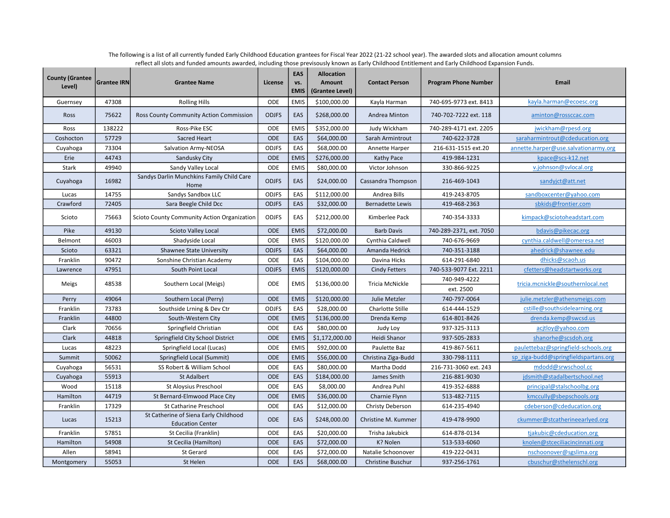| <b>County (Grantee</b><br>Level) | <b>Grantee IRN</b> | <b>Grantee Name</b>                                              | License      | EAS<br>VS.<br><b>EMIS</b> | <b>Allocation</b><br>Amount<br>(Grantee Level) | <b>Contact Person</b>    | <b>Program Phone Number</b> | Email                                |
|----------------------------------|--------------------|------------------------------------------------------------------|--------------|---------------------------|------------------------------------------------|--------------------------|-----------------------------|--------------------------------------|
| Guernsey                         | 47308              | <b>Rolling Hills</b>                                             | ODE          | <b>EMIS</b>               | \$100,000.00                                   | Kayla Harman             | 740-695-9773 ext. 8413      | kayla.harman@ecoesc.org              |
| Ross                             | 75622              | Ross County Community Action Commission                          | <b>ODJFS</b> | EAS                       | \$268,000.00                                   | Andrea Minton            | 740-702-7222 ext. 118       | aminton@rossccac.com                 |
| Ross                             | 138222             | Ross-Pike ESC                                                    | <b>ODE</b>   | <b>EMIS</b>               | \$352,000.00                                   | Judy Wickham             | 740-289-4171 ext. 2205      | jwickham@rpesd.org                   |
| Coshocton                        | 57729              | Sacred Heart                                                     | <b>ODE</b>   | EAS                       | \$64,000.00                                    | Sarah Armintrout         | 740-622-3728                | saraharmintrout@cdeducation.org      |
| Cuyahoga                         | 73304              | Salvation Army-NEOSA                                             | <b>ODJFS</b> | EAS                       | \$68,000.00                                    | Annette Harper           | 216-631-1515 ext.20         | annette.harper@use.salvationarmy.org |
| Erie                             | 44743              | Sandusky City                                                    | <b>ODE</b>   | <b>EMIS</b>               | \$276,000.00                                   | Kathy Pace               | 419-984-1231                | kpace@scs-k12.net                    |
| Stark                            | 49940              | Sandy Valley Local                                               | ODE          | <b>EMIS</b>               | \$80,000.00                                    | Victor Johnson           | 330-866-9225                | v.johnson@svlocal.org                |
| Cuyahoga                         | 16982              | Sandys Darlin Munchkins Family Child Care<br>Home                | <b>ODJFS</b> | EAS                       | \$24,000.00                                    | Cassandra Thompson       | 216-469-1043                | sandyjct@att.net                     |
| Lucas                            | 14755              | Sandys Sandbox LLC                                               | <b>ODJFS</b> | EAS                       | \$112,000.00                                   | Andrea Bills             | 419-243-8705                | sandboxcenter@yahoo.com              |
| Crawford                         | 72405              | Sara Beegle Child Dcc                                            | <b>ODJFS</b> | EAS                       | \$32,000.00                                    | <b>Bernadette Lewis</b>  | 419-468-2363                | sbkids@frontier.com                  |
| Scioto                           | 75663              | Scioto County Community Action Organization                      | <b>ODJFS</b> | EAS                       | \$212,000.00                                   | Kimberlee Pack           | 740-354-3333                | kimpack@sciotoheadstart.com          |
| Pike                             | 49130              | <b>Scioto Valley Local</b>                                       | <b>ODE</b>   | <b>EMIS</b>               | \$72,000.00                                    | <b>Barb Davis</b>        | 740-289-2371, ext. 7050     | bdavis@pikecac.org                   |
| Belmont                          | 46003              | Shadyside Local                                                  | ODE          | <b>EMIS</b>               | \$120,000.00                                   | Cynthia Caldwell         | 740-676-9669                | cynthia.caldwell@omeresa.net         |
| Scioto                           | 63321              | Shawnee State University                                         | <b>ODJFS</b> | EAS                       | \$64,000.00                                    | Amanda Hedrick           | 740-351-3188                | ahedrick@shawnee.edu                 |
| Franklin                         | 90472              | Sonshine Christian Academy                                       | ODE          | EAS                       | \$104,000.00                                   | Davina Hicks             | 614-291-6840                | dhicks@scaoh.us                      |
| Lawrence                         | 47951              | South Point Local                                                | <b>ODJFS</b> | <b>EMIS</b>               | \$120,000.00                                   | <b>Cindy Fetters</b>     | 740-533-9077 Ext. 2211      | cfetters@headstartworks.org          |
| Meigs                            | 48538              | Southern Local (Meigs)                                           | ODE          | <b>EMIS</b>               | \$136,000.00                                   | <b>Tricia McNickle</b>   | 740-949-4222<br>ext. 2500   | tricia.mcnickle@southernlocal.net    |
| Perry                            | 49064              | Southern Local (Perry)                                           | <b>ODE</b>   | <b>EMIS</b>               | \$120,000.00                                   | Julie Metzler            | 740-797-0064                | julie.metzler@athensmeigs.com        |
| Franklin                         | 73783              | Southside Lrning & Dev Ctr                                       | <b>ODJFS</b> | EAS                       | \$28,000.00                                    | <b>Charlotte Stille</b>  | 614-444-1529                | cstille@southsidelearning.org        |
| Franklin                         | 44800              | South-Western City                                               | <b>ODE</b>   | <b>EMIS</b>               | \$136,000.00                                   | Drenda Kemp              | 614-801-8426                | drenda.kemp@swcsd.us                 |
| Clark                            | 70656              | Springfield Christian                                            | ODE          | EAS                       | \$80,000.00                                    | Judy Loy                 | 937-325-3113                | acjtloy@yahoo.com                    |
| Clark                            | 44818              | Springfield City School District                                 | <b>ODE</b>   | <b>EMIS</b>               | \$1,172,000.00                                 | Heidi Shanor             | 937-505-2833                | shanorhe@scsdoh.org                  |
| Lucas                            | 48223              | Springfield Local (Lucas)                                        | ODE          | EMIS                      | \$92,000.00                                    | Paulette Baz             | 419-867-5611                | paulettebaz@springfield-schools.org  |
| Summit                           | 50062              | Springfield Local (Summit)                                       | <b>ODE</b>   | <b>EMIS</b>               | \$56,000.00                                    | Christina Ziga-Budd      | 330-798-1111                | sp ziga-budd@springfieldspartans.org |
| Cuyahoga                         | 56531              | SS Robert & William School                                       | ODE          | EAS                       | \$80,000.00                                    | Martha Dodd              | 216-731-3060 ext. 243       | mdodd@srwschool.cc                   |
| Cuyahoga                         | 55913              | St Adalbert                                                      | <b>ODE</b>   | EAS                       | \$184,000.00                                   | James Smith              | 216-881-9030                | jdsmith@stadalbertschool.net         |
| Wood                             | 15118              | <b>St Aloysius Preschool</b>                                     | ODE          | EAS                       | \$8,000.00                                     | Andrea Puhl              | 419-352-6888                | principal@stalschoolbg.org           |
| Hamilton                         | 44719              | St Bernard-Elmwood Place City                                    | <b>ODE</b>   | <b>EMIS</b>               | \$36,000.00                                    | Charnie Flynn            | 513-482-7115                | kmccully@sbepschools.org             |
| Franklin                         | 17329              | St Catharine Preschool                                           | ODE          | EAS                       | \$12,000.00                                    | Christy Deberson         | 614-235-4940                | cdeberson@cdeducation.org            |
| Lucas                            | 15213              | St Catherine of Siena Early Childhood<br><b>Education Center</b> | <b>ODE</b>   | EAS                       | \$248,000.00                                   | Christine M. Kummer      | 419-478-9900                | ckummer@stcatherineearlyed.org       |
| Franklin                         | 57851              | St Cecilia (Franklin)                                            | ODE          | EAS                       | \$20,000.00                                    | Trisha Jakubick          | 614-878-0134                | tjakubic@cdeducation.org             |
| Hamilton                         | 54908              | St Cecilia (Hamilton)                                            | <b>ODE</b>   | EAS                       | \$72,000.00                                    | K? Nolen                 | 513-533-6060                | knolen@stceciliacincinnati.org       |
| Allen                            | 58941              | St Gerard                                                        | ODE          | EAS                       | \$72,000.00                                    | Natalie Schoonover       | 419-222-0431                | nschoonover@sgslima.org              |
| Montgomery                       | 55053              | St Helen                                                         | ODE          | EAS                       | \$68,000.00                                    | <b>Christine Buschur</b> | 937-256-1761                | cbuschur@sthelenschl.org             |

The following is a list of all currently funded Early Childhood Education grantees for Fiscal Year 2022 (21-22 school year). The awarded slots and allocation amount columns reflect all slots and funded amounts awarded, including those previsously known as Early Childhood Entitlement and Early Childhood Expansion Funds.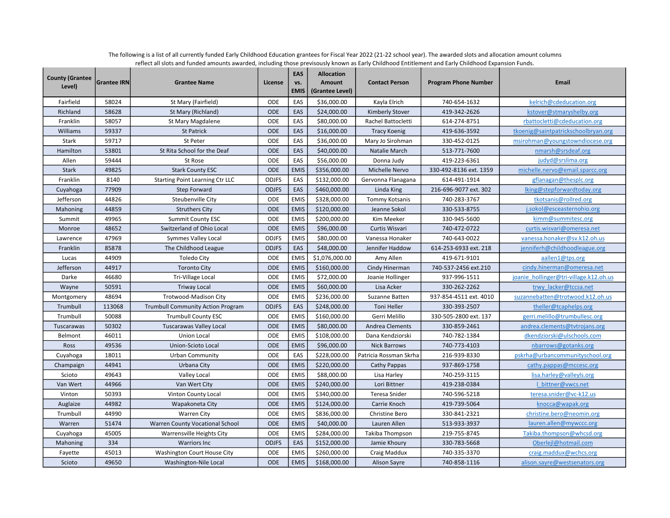| <b>County (Grantee</b><br>Level) | <b>Grantee IRN</b> | <b>Grantee Name</b>                      | License      | EAS<br>vs.<br><b>EMIS</b> | <b>Allocation</b><br>Amount<br>(Grantee Level) | <b>Contact Person</b>  | <b>Program Phone Number</b> | Email                                  |
|----------------------------------|--------------------|------------------------------------------|--------------|---------------------------|------------------------------------------------|------------------------|-----------------------------|----------------------------------------|
| Fairfield                        | 58024              | St Mary (Fairfield)                      | ODE          | EAS                       | \$36,000.00                                    | Kayla Elrich           | 740-654-1632                | kelrich@cdeducation.org                |
| Richland                         | 58628              | St Mary (Richland)                       | <b>ODE</b>   | EAS                       | \$24,000.00                                    | Kimberly Stover        | 419-342-2626                | kstover@stmaryshelby.org               |
| Franklin                         | 58057              | St Mary Magdalene                        | ODE          | EAS                       | \$80,000.00                                    | Rachel Battocletti     | 614-274-8751                | rbattocletti@cdeducation.org           |
| Williams                         | 59337              | <b>St Patrick</b>                        | <b>ODE</b>   | EAS                       | \$16,000.00                                    | <b>Tracy Koenig</b>    | 419-636-3592                | tkoenig@saintpatrickschoolbryan.org    |
| Stark                            | 59717              | St Peter                                 | ODE          | EAS                       | \$36,000.00                                    | Mary Jo Sirohman       | 330-452-0125                | msirohman@youngstowndiocese.org        |
| Hamilton                         | 53801              | St Rita School for the Deaf              | ODE          | EAS                       | \$40,000.00                                    | Natalie March          | 513-771-7600                | nmarsh@srsdeaf.org                     |
| Allen                            | 59444              | St Rose                                  | ODE          | EAS                       | \$56,000.00                                    | Donna Judy             | 419-223-6361                | judyd@srslima.org                      |
| <b>Stark</b>                     | 49825              | <b>Stark County ESC</b>                  | <b>ODE</b>   | <b>EMIS</b>               | \$356,000.00                                   | Michelle Nervo         | 330-492-8136 ext. 1359      | michelle.nervo@email.sparcc.org        |
| Franklin                         | 8140               | Starting Point Learning Ctr LLC          | <b>ODJFS</b> | EAS                       | \$132,000.00                                   | Gervonna Flanagana     | 614-491-1914                | gflanagan@thesplc.org                  |
| Cuyahoga                         | 77909              | <b>Step Forward</b>                      | <b>ODJFS</b> | EAS                       | \$460,000.00                                   | Linda King             | 216-696-9077 ext. 302       | lking@stepforwardtoday.org             |
| Jefferson                        | 44826              | Steubenville City                        | ODE          | <b>EMIS</b>               | \$328,000.00                                   | <b>Tommy Kotsanis</b>  | 740-283-3767                | tkotsanis@rollred.org                  |
| Mahoning                         | 44859              | <b>Struthers City</b>                    | <b>ODE</b>   | <b>EMIS</b>               | \$120,000.00                                   | Jeanne Sokol           | 330-533-8755                | j.sokol@esceasternohio.org             |
| Summit                           | 49965              | <b>Summit County ESC</b>                 | ODE          | <b>EMIS</b>               | \$200,000.00                                   | Kim Meeker             | 330-945-5600                | kimm@summitesc.org                     |
| Monroe                           | 48652              | Switzerland of Ohio Local                | ODE          | <b>EMIS</b>               | \$96,000.00                                    | Curtis Wisvari         | 740-472-0722                | curtis.wisvari@omeresa.net             |
| Lawrence                         | 47969              | Symmes Valley Local                      | <b>ODJFS</b> | <b>EMIS</b>               | \$80,000.00                                    | Vanessa Honaker        | 740-643-0022                | vanessa.honaker@sv.k12.oh.us           |
| Franklin                         | 85878              | The Childhood League                     | <b>ODJFS</b> | EAS                       | \$48,000.00                                    | Jennifer Haddow        | 614-253-6933 ext. 218       | jenniferh@childhoodleague.org          |
| Lucas                            | 44909              | <b>Toledo City</b>                       | <b>ODE</b>   | <b>EMIS</b>               | \$1,076,000.00                                 | Amy Allen              | 419-671-9101                | aallen1@tps.org                        |
| Jefferson                        | 44917              | <b>Toronto City</b>                      | <b>ODE</b>   | <b>EMIS</b>               | \$160,000.00                                   | Cindy Hinerman         | 740-537-2456 ext.210        | cindy.hinerman@omeresa.net             |
| Darke                            | 46680              | Tri-Village Local                        | ODE          | <b>EMIS</b>               | \$72,000.00                                    | Joanie Hollinger       | 937-996-1511                | joanie hollinger@tri-village.k12.oh.us |
| Wayne                            | 50591              | <b>Triway Local</b>                      | <b>ODE</b>   | <b>EMIS</b>               | \$60,000.00                                    | Lisa Acker             | 330-262-2262                | trwy lacker@tccsa.net                  |
| Montgomery                       | 48694              | Trotwood-Madison City                    | ODE          | <b>EMIS</b>               | \$236,000.00                                   | Suzanne Batten         | 937-854-4511 ext. 4010      | suzannebatten@trotwood.k12.oh.us       |
| Trumbull                         | 113068             | <b>Trumbull Community Action Program</b> | <b>ODJFS</b> | EAS                       | \$248,000.00                                   | <b>Toni Heller</b>     | 330-393-2507                | theller@tcaphelps.org                  |
| Trumbull                         | 50088              | <b>Trumbull County ESC</b>               | ODE          | <b>EMIS</b>               | \$160,000.00                                   | Gerri Melillo          | 330-505-2800 ext. 137       | gerri.melillo@trumbullesc.org          |
| Tuscarawas                       | 50302              | <b>Tuscarawas Valley Local</b>           | <b>ODE</b>   | <b>EMIS</b>               | \$80,000.00                                    | Andrea Clements        | 330-859-2461                | andrea.clements@tvtrojans.org          |
| Belmont                          | 46011              | Union Local                              | ODE          | <b>EMIS</b>               | \$108,000.00                                   | Dana Kendziorski       | 740-782-1384                | dkendziorski@ulschools.com             |
| Ross                             | 49536              | Union-Scioto Local                       | <b>ODE</b>   | <b>EMIS</b>               | \$96,000.00                                    | <b>Nick Barrows</b>    | 740-773-4103                | nbarrows@gotanks.org                   |
| Cuyahoga                         | 18011              | <b>Urban Community</b>                   | <b>ODE</b>   | EAS                       | \$228,000.00                                   | Patricia Rossman Skrha | 216-939-8330                | pskrha@urbancommunityschool.org        |
| Champaign                        | 44941              | Urbana City                              | <b>ODE</b>   | <b>EMIS</b>               | \$220,000.00                                   | Cathy Pappas           | 937-869-1758                | cathy.pappas@mccesc.org                |
| Scioto                           | 49643              | Valley Local                             | ODE          | <b>EMIS</b>               | \$88,000.00                                    | Lisa Harley            | 740-259-3115                | lisa.harley@valleyls.org               |
| Van Wert                         | 44966              | Van Wert City                            | <b>ODE</b>   | <b>EMIS</b>               | \$240,000.00                                   | Lori Bittner           | 419-238-0384                | I bittner@vwcs.net                     |
| Vinton                           | 50393              | Vinton County Local                      | ODE          | <b>EMIS</b>               | \$340,000.00                                   | Teresa Snider          | 740-596-5218                | teresa.snider@vc-k12.us                |
| Auglaize                         | 44982              | Wapakoneta City                          | <b>ODE</b>   | <b>EMIS</b>               | \$124,000.00                                   | Carrie Knoch           | 419-739-5064                | knocca@wapak.org                       |
| Trumbull                         | 44990              | <b>Warren City</b>                       | ODE          | <b>EMIS</b>               | \$836,000.00                                   | Christine Bero         | 330-841-2321                | christine.bero@neomin.org              |
| Warren                           | 51474              | Warren County Vocational School          | <b>ODE</b>   | <b>EMIS</b>               | \$40,000.00                                    | Lauren Allen           | 513-933-3937                | lauren.allen@mywccc.org                |
| Cuyahoga                         | 45005              | Warrensville Heights City                | ODE          | <b>EMIS</b>               | \$284,000.00                                   | Takiba Thompson        | 219-755-8745                | Takiba.thompson@whcsd.org              |
| Mahoning                         | 334                | <b>Warriors Inc</b>                      | <b>ODJFS</b> | EAS                       | \$152,000.00                                   | Jamie Khoury           | 330-783-5668                | Oberlejl@hotmail.com                   |
| Fayette                          | 45013              | Washington Court House City              | ODE          | <b>EMIS</b>               | \$260,000.00                                   | Craig Maddux           | 740-335-3370                | craig.maddux@wchcs.org                 |
| Scioto                           | 49650              | Washington-Nile Local                    | <b>ODE</b>   | <b>EMIS</b>               | \$168,000.00                                   | <b>Alison Sayre</b>    | 740-858-1116                | alison.sayre@westsenators.org          |

The following is a list of all currently funded Early Childhood Education grantees for Fiscal Year 2022 (21-22 school year). The awarded slots and allocation amount columns reflect all slots and funded amounts awarded, including those previsously known as Early Childhood Entitlement and Early Childhood Expansion Funds.